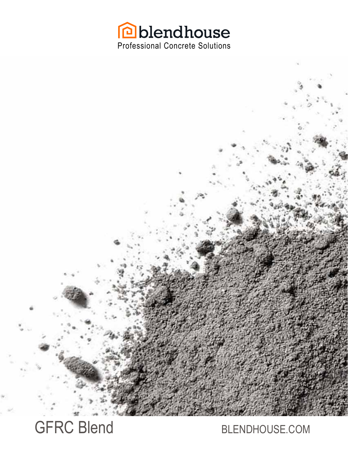

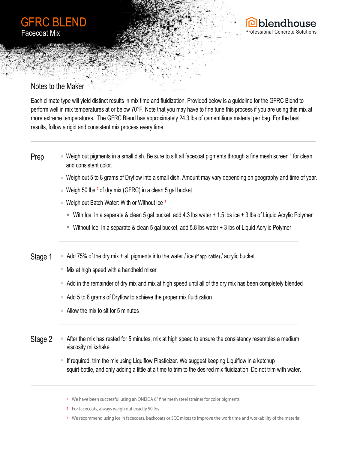



## Notes to the Maker

Each climate type will yield distinct results in mix time and fluidization. Provided below is a guideline for the GFRC Blend to perform well in mix temperatures at or below 70°F. Note that you may have to fine tune this process if you are using this mix at more extreme temperatures. The GFRC Blend has approximately 24.3 lbs of cementitious material per bag. For the best results, follow a rigid and consistent mix process every time.

#### Weigh out pigments in a small dish. Be sure to sift all facecoat pigments through a fine mesh screen **<sup>1</sup>** for clean and consistent color. Prep

- Weigh out 5 to 8 grams of Dryflow into a small dish. Amount may vary depending on geography and time of year.
- Weigh 50 lbs **<sup>2</sup>** of dry mix (GFRC) in a clean 5 gal bucket
- Weigh out Batch Water: With or Without ice **<sup>3</sup>**
	- With Ice: In a separate & clean 5 gal bucket, add 4.3 lbs water + 1.5 lbs ice + 3 lbs of Liquid Acrylic Polymer
	- Without Ice: In a separate & clean 5 gal bucket, add 5.8 lbs water + 3 lbs of Liquid Acrylic Polymer
- $\blacksquare$  Add 75% of the dry mix + all pigments into the water / ice (if applicable) / acrylic bucket Stage 1
	- $\blacksquare$  Mix at high speed with a handheld mixer
	- Add in the remainder of dry mix and mix at high speed until all of the dry mix has been completely blended
	- Add 5 to 8 grams of Dryflow to achieve the proper mix fluidization
	- $\blacksquare$  Allow the mix to sit for 5 minutes
- After the mix has rested for 5 minutes, mix at high speed to ensure the consistency resembles a medium viscosity milkshake Stage 2
	- $\blacksquare$  If required, trim the mix using Liquiflow Plasticizer. We suggest keeping Liquiflow in a ketchup squirt-bottle, and only adding a little at a time to trim to the desired mix fluidization. Do not trim with water.
		- <sup>1</sup> We have been successful using an ONEIDA 6" fine mesh steel strainer for color pigments
		- For **facecoats**, always weigh out exactly 50 lbs 2
		- We recommend using **ice** in facecoats, backcoats or SCC mixes to improve the work time and workability of the material 3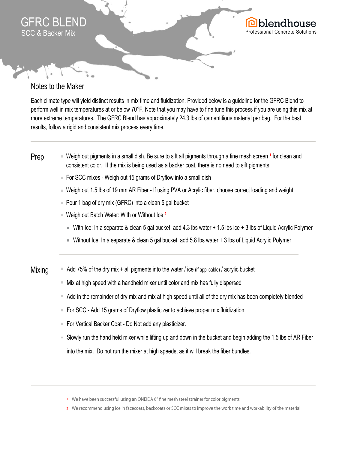

## Notes to the Maker

Each climate type will yield distinct results in mix time and fluidization. Provided below is a guideline for the GFRC Blend to perform well in mix temperatures at or below 70°F. Note that you may have to fine tune this process if you are using this mix at more extreme temperatures. The GFRC Blend has approximately 24.3 lbs of cementitious material per bag. For the best results, follow a rigid and consistent mix process every time.

### Weigh out pigments in a small dish. Be sure to sift all pigments through a fine mesh screen <sup>1</sup> for clean and consistent color. If the mix is being used as a backer coat, there is no need to sift pigments. Prep

- $\blacksquare$  For SCC mixes Weigh out 15 grams of Dryflow into a small dish
- Weigh out 1.5 lbs of 19 mm AR Fiber If using PVA or Acrylic fiber, choose correct loading and weight
- $\blacksquare$  Pour 1 bag of dry mix (GFRC) into a clean 5 gal bucket
- Weigh out Batch Water: With or Without Ice **<sup>2</sup>**
	- With Ice: In a separate & clean 5 gal bucket, add 4.3 lbs water + 1.5 lbs ice + 3 lbs of Liquid Acrylic Polymer
	- Without Ice: In a separate & clean 5 gal bucket, add 5.8 lbs water + 3 lbs of Liquid Acrylic Polymer
- $\blacksquare$  Add 75% of the dry mix + all pigments into the water / ice (if applicable) / acrylic bucket **Mixing** 
	- Mix at high speed with a handheld mixer until color and mix has fully dispersed
	- Add in the remainder of dry mix and mix at high speed until all of the dry mix has been completely blended
	- For SCC Add 15 grams of Dryflow plasticizer to achieve proper mix fluidization
	- For Vertical Backer Coat Do Not add any plasticizer.
	- Slowly run the hand held mixer while lifting up and down in the bucket and begin adding the 1.5 lbs of AR Fiber into the mix. Do not run the mixer at high speeds, as it will break the fiber bundles.
		- <sup>1</sup> We have been successful using an ONEIDA 6" fine mesh steel strainer for color pigments
		- We recommend using **ice** in facecoats, backcoats or SCC mixes to improve the work time and workability of the material 2